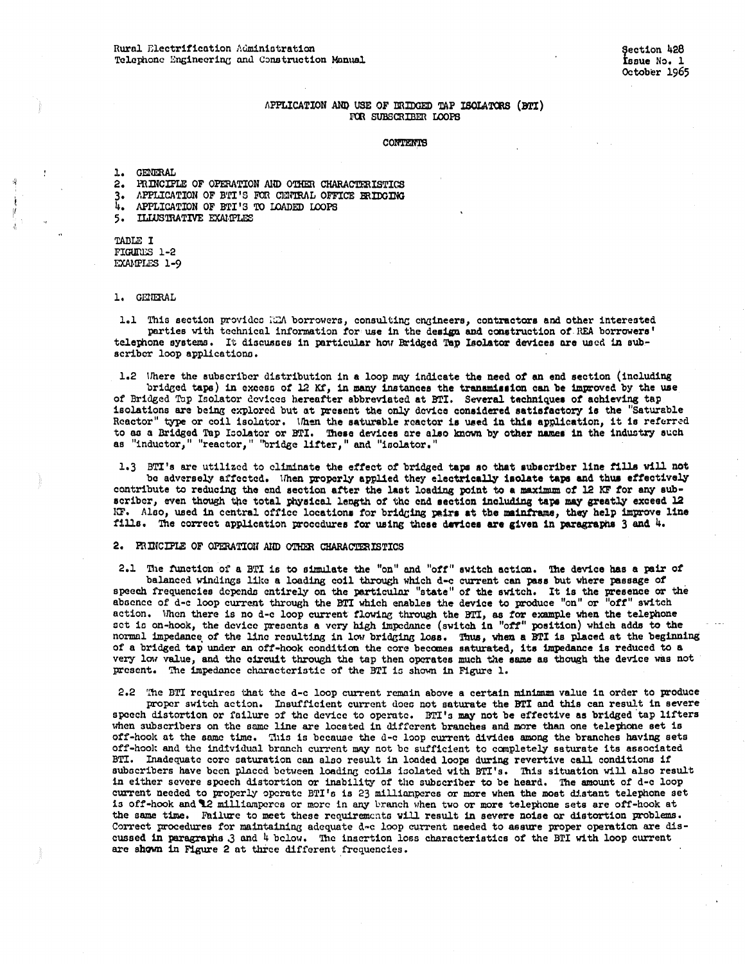## APPLICATION AND USE OF IRIDGED TAP ISOLATORS (BTI) FOR SUBSCRIBER LOOPS

## CONTENTS

1. GENERAL

2. PRINCIPLE OF OPERATION AND OTHER CHARACTERISTICS

3. APPLICATION OF BTI'S FOR CENTRAL OFFICE ERIDGING

4. APPLICATION OF BTI'S TO LOADED LOOPS

5. ILLUSTRATIVE EXAMPLES

TABLE I FIGURES 1-2 EXAMPLES 1-9

1. GENERAL

1.1 This section provides HIA borrowers, consulting engineers, contractors and other interested parties with technical information for use in the design and construction of REA borrowers' telephone systems. It discusses in particular how Bridged Tap Isolator devices are used in subscriber loop applications.

1.2 Where the subscriber distribution in a loop may indicate the need of an end section (including bridged taps) in excess of 12 Kf, in many instances the transmission can be improved by the use of Bridged Tap Isolator devices hereafter abbreviated at BTI. Several techniques of achieving tap isolations are being explored but at present the only device considered satisfactory is the "Saturable Reactor" type or coil isolator. When the saturable reactor is used in this application, it is referred to as a Bridged Tap Isolator or BTI. These devices are also known by other names in the industry such as "inductor," "reactor," "bridge lifter," and "isolator."

1.3 BTI's are utilized to climinate the effect of bridged taps so that subscriber line fills will not be adversely affected. When properly applied they electrically isolate taps and thus effectively contribute to reducing the end section after the last loading point to a maximum of 12 KF for any subscriber, even though the total physical length of the end section including taps may greatly exceed 12 KF. Also, used in central office locations for bridging pairs at the mainframe, they help improve line fills. The correct application procedures for using these devices are given in paragraphs 3 and 4.

2. PRINCIPLE OF OPERATION AND OTHER CHARACTERISTICS

2.1 The function of a BTI is to simulate the "on" and "off" switch action. The device has a pair of balanced windings like a loading coil through which d-c current can pass but where passage of<br>speech frequencies depends entirely on the particular "state" of the switch. It is the presence or the<br>absence of d-c loop curre action. When there is no d-c loop current flowing through the BTI, as for example when the telephone set is on-hook, the device presents a very high impedance (switch in "off" position) which adds to the normal impedance of the line resulting in low bridging loss. Thus, when a BTI is placed at the beginning of a bridged tap under an off-hook condition the core becomes saturated, its impedance is reduced to a very low value, and the circuit through the tap then operates much the same as though the device was not present. The impedance characteristic of the BTI is shown in Figure 1.

2.2 The BTI requires that the d-c loop current remain above a certain minimum value in order to produce proper switch action. Insufficient current does not saturate the BTI and this can result in severe speech distortion or failure of the device to operate. BTI's may not be effective as bridged tap lifters when subscribers on the same line are located in different branches and more than one telephone set is off-hook at the same time. This is because the d-c loop current divides among the branches having sets off-hook and the individual branch current may not be sufficient to completely saturate its associated BTI. Inadequate core saturation can also result in loaded loops during revertive call conditions if subscribers have been placed between loading coils isolated with BTI's. This situation will also result in either severe speech distortion or inability of the subscriber to be heard. The amount of d-c loop current needed to properly operate BTI's is 23 millianperes or more when the most distant telephone set is off-hook and 12 milliamperes or more in any branch when two or more telephone sets are off-hook at the same time. Failure to meet these requirements will result in severe noise or distortion problems. Correct procedures for maintaining adequate d-c loop current needed to assure proper operation are discussed in paragraphs 3 and 4 below. The insertion loss characteristics of the BTI with loop current are shown in Figure 2 at three different frequencies.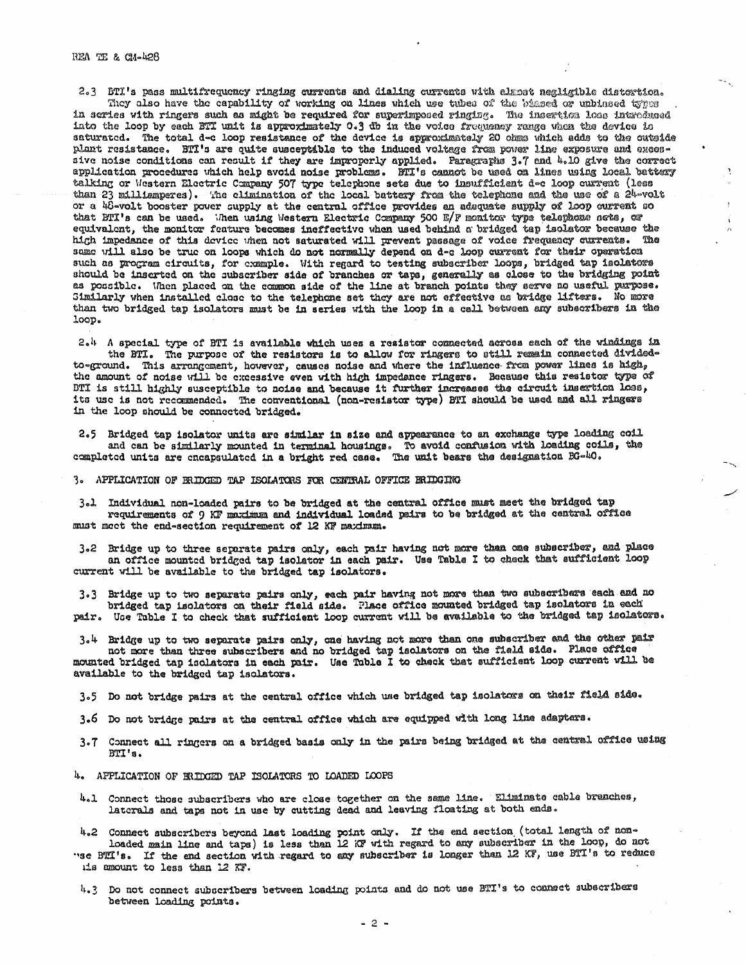2.3 BTI's pass multifrequency ringing currents and dialing currents with almost negligible distortion. They also have the capability of working on lines which use tubes of the biased or unbinsed types in scries with ringers such as might be required for superimposed ringing. The insertion loss interdised into the loop by each BTI unit is approximately 0.3 db in the voice frequency range when the device is saturated. The total dec loop resistance of the device is approximately 20 ohms which adds to the outside plant resistance. BTI's are quite susceptible to the induced voltage from power line exposure and excessive noise conditions can result if they are improperly applied. Faragraphs 3.7 and 4.10 give the correct application procedures which help avoid noise problems. FII's cannot be used on lines using local battery talking or Western Electric Company 507 type telephone sets due to insufficient d-c loop current (less than 23 milliamperes). The climination of the local battery from the telephone and the use of a 24-volt or a 40-volt booster power supply at the central office provides an adequate supply of loop current so that BTI's can be used. When using Western Electric Company 500 E/F monitor type telephone nets, or equivalent, the monitor feature becomes ineffective when used behind a bridged tap isolator because the high impedance of this device when not saturated will prevent passage of voice frequency currents. The same will also be true on loops which do not normally depend on d-c loop current for their operation such as program circuits, for example. With regard to testing subscriber loops, bridged tap isolators should be inserted on the subscriber side of branches or taps, generally as close to the bridging point as possible. When placed on the common side of the line at branch points they serve no useful purpose. Similarly when installed close to the telephone set they are not effective as bridge lifters. No more than two bridged tap isolators must be in series with the loop in a call between any subscribers in the loop.

 $\bar{\mathcal{A}}$ 

2.4 A special type of BTI is available which uses a resistor commerted across each of the windings in the BTI. The purpose of the resistors is to allow for ringers to still remain connected dividedto-ground. This arrangement, however, causes noise and where the influence from power lines is high, the amount of noise will be excessive even with high impedance ringers. Because this resistor type of BTI is still highly susceptible to noise and because it further increases the circuit insertion loss, its use is not recommended. The conventional (non-resistor type) BTI should be used and all ringers in the loop should be connected bridged.

2.5 Bridged tap isolator units are similar in size and appearance to an exchange type loading coil and can be similarly mounted in terminal housings. To avoid confusion with loading coils, the completed units are cacapsulated in a bright red case. The unit bears the designation BG-40.

3. APPLICATION OF BRIDGED TAP ISOLATORS FOR CENTRAL OFFICE BRIDGING

3.1 Individual non-loaded pairs to be bridged at the central office must meet the bridged tap requirements of 9 KF maximum and individual loaded pairs to be bridged at the central office must moet the end-section requirement of 12 KF maximum.

3.2 Bridge up to three separate pairs only, each pair having not more than one subscriber, and place an office mounted bridged tap isolator in each pair. Use Table I to check that sufficient loop current will be available to the bridged tap isolators.

3.3 Bridge up to two separate pairs only, each pair having not more than two subscribers each and no bridged tap isolators on their field side. Place office mounted bridged tap isolators in each pair. Use Table I to check that sufficient loop current will be available to the bridged tap isolators.

3.4 Bridge up to two separate pairs only, one having not more than one subscriber and the other pair not more than three subscribers and no bridged tap isolators on the field side. Place office mounted bridged tap isolators in each pair. Use Table I to check that sufficient loop current will be available to the bridged tap isolators.

3.5 Do not bridge pairs at the central office which use bridged tap isolators on their field side.

- 3.6 Do not bridge pairs at the central office which are equipped with long line adapters.
- 3.7 Connect all ringers on a bridged basis only in the pairs being bridged at the central office using BTI's.
- 4. APPLICATION OF ERIDGED TAP ISOLATORS TO LOADED LOOPS
- 4.1 Connect those subscribers who are close together on the same line. Eliminate cable brenches, laterals and taps not in use by cutting dead and leaving floating at both ends.

4.2 Connect subscribers beyond last loading point only. If the end section (total length of nonloaded main line and taps) is less than 12 KF with regard to any subscriber in the loop, do not

"se BTI's. If the end section with regard to any subscriber is longer than 12 KF, use BTI's to reduce iis amount to less than 12 KF.

4.3 Do not connect subscribers between loading points and do not use BTI's to connect subscribers between loading points.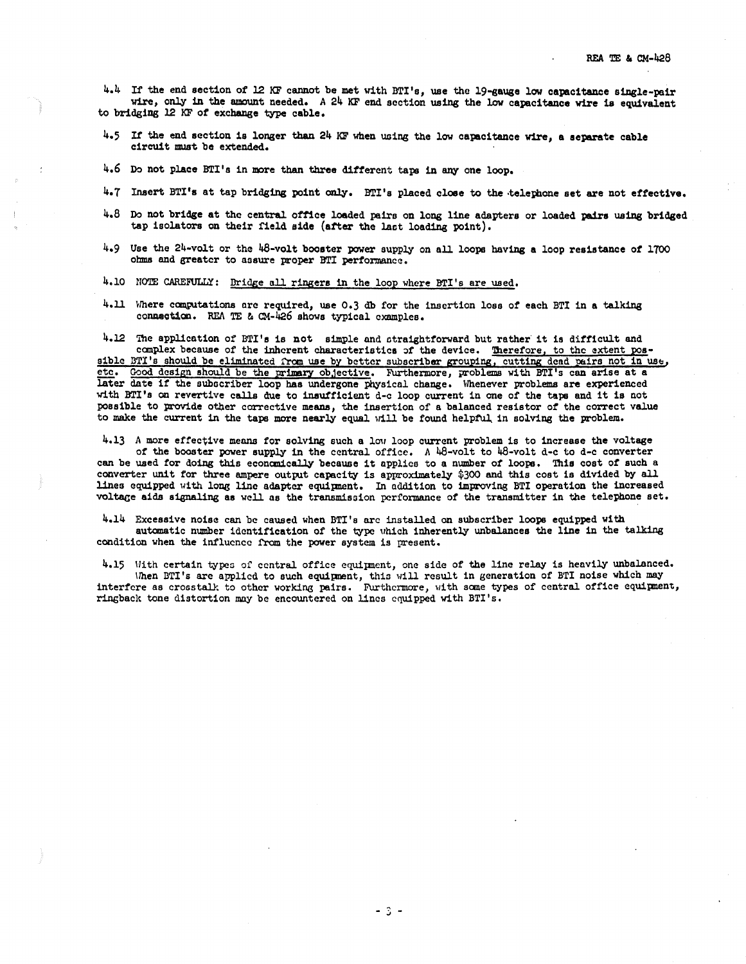4.4 If the end section of 12 KF cannot be met with BTI's, use the 19-gauge low capacitance single-pair wire, only in the amount needed. A 24 KF end section using the low capacitance wire is equivalent to bridging 12 KF of exchange type cable.

- 4.5 If the end section is longer than 24 KF when using the low capacitance wire, a separate cable circuit must be extended.
- 4.6 Do not place BTI's 1n more than three different taps in any one loop.
- 4.7 Insert BTI's at tap bridging point only. BTI's placed close to the telephone set are not effective.
- 4.8 Do not bridge at the central office loaded pairs on long line adapters or loaded pairs using bridged tap isolators on their field aide {after the lact loading point).
- 4.9 Use the 24-volt or the 48-volt booster power supply on all loops having **a** loop resistance of 1700 ohms and greater to assure proper BTI performance.
- 4.10 NOTE CAREFULLY: Bridge all ringers in the loop where BTI's are used.
- 4.11 Where computations arc required, use 0.3 db for the insertion loss of each BTI in a talking connaction. REA TE & CM-426 shows typical examples.

4.12 The application of **BTI's** is not simple and straightforward but rather it is difficult and complex because of the inherent characteristics of the device. Therefore, to the extent possible BTI's should be eliminated from use by better subscriber grouping, cutting dead pairs not in use, etc. Good design should be the primary objective. Furthermore, problems with BTI's can arise at a *~•* Good design should be the **pr:1mry** objective, l'\lrthermore, ;,roble:ms with BTI's can **arise** at a later date it the subocriber loop has undergone physical change, Whenever problems are experienced with BTI's on revertive calls due to insufficient d-c loop current in one of the taps and it is not possible to provide other corrective means, the insertion of a balanced resistor of the correct value to make the current in the taps more nearly equal will be found helpful in solving the problem.

4.13 A more effective means for solving such a low loop current problem is to increase the voltage of the booster power supply in the central office. A 48-volt to 48-volt d-c to d-c converter can be used for doing this econcmically because it applies to a number of loops, This cost of such a converter unit for three ampere output capacity is approximately \$300 and this cost is divided by all lines equipped with long line adapter equipment. In addition to improving BTI operation the increased voltage aids signaling as well as the transmission performance of the transmitter in the telephone set.

4.14 Excessive noise can be caused when BTI's arc installed on subscriber loops equipped with automatic number identification of the type which inherently unbalances the line in the talking condition when the influence from the power system is present.

4.15 With certain types of central office equipment, one side of the line relay is heavily unbalanced. When BTI's are applied to such equipment, this will result in generation of BTI noise which may

interfere as crosstalk to other working pairs. Furthermore, with some types of central office equipment, ringback tone distortion may be encountered on lines equipped with BTI's.

*:,*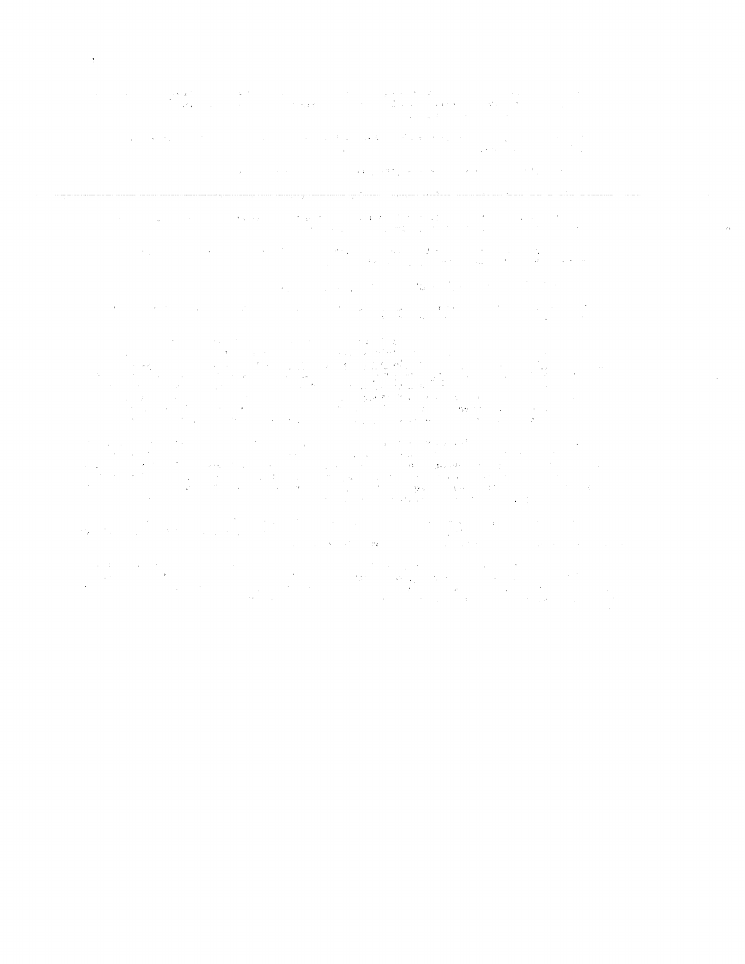- -

- - -
- 
- $\label{eq:2.1} \frac{d\mathbf{r}}{d\mathbf{r}} = \frac{d\mathbf{r}}{d\mathbf{r}}\left(\frac{d\mathbf{r}}{d\mathbf{r}}\right) = \frac{d\mathbf{r}}{d\mathbf{r}}\left(\frac{d\mathbf{r}}{d\mathbf{r}}\right) = \frac{d\mathbf{r}}{d\mathbf{r}}\left(\frac{d\mathbf{r}}{d\mathbf{r}}\right)$
- $\label{eq:2} \begin{split} \mathcal{F}^{(1)}_{\text{max}}(\mathbf{x}) & = \frac{1}{2} \mathcal{F}^{(1)}_{\text{max}} \\ & = \frac{1}{2} \mathcal{F}^{(1)}_{\text{max}}(\mathbf{x}) \\ & = \frac{1}{2} \mathcal{F}^{(1)}_{\text{max}}(\mathbf{x}) \\ & = \frac{1}{2} \mathcal{F}^{(1)}_{\text{max}}(\mathbf{x}) \\ & = \frac{1}{2} \mathcal{F}^{(1)}_{\text{max}}(\mathbf{x}) \\ & = \frac{1}{2} \mathcal{F}^{(1)}_{\text{max}}(\mathbf{x}) \\ & = \frac{1$
- 
-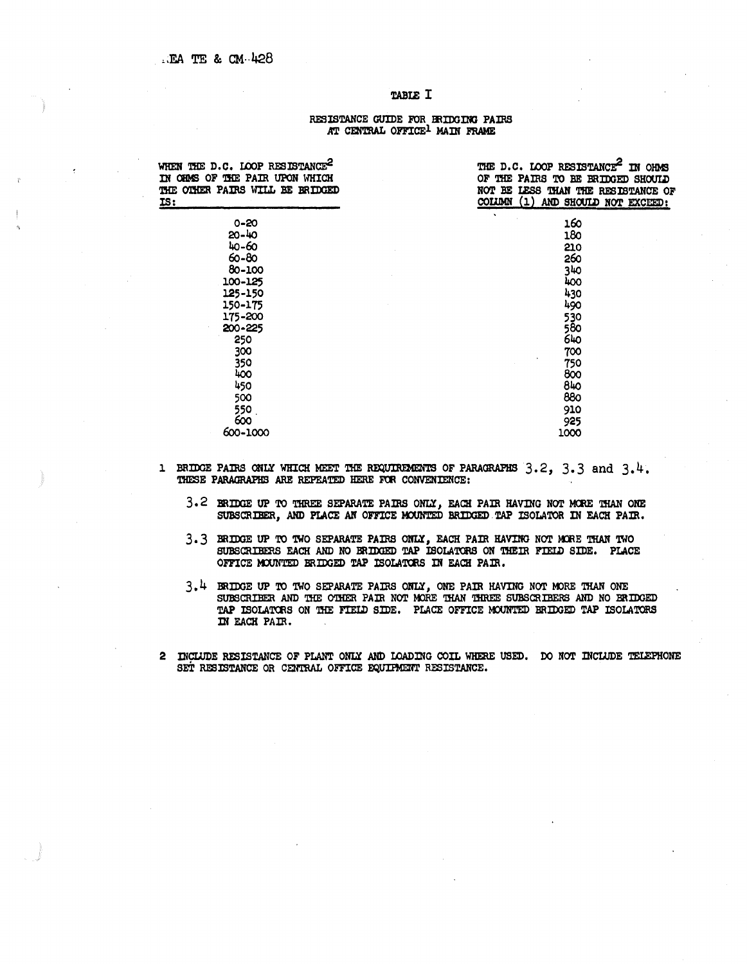## TABLE I

## RESISTANCE GUIDE FOR ERIDGING PAIRS AT CENTRAL OFFICE<sup>1</sup> MAIN FRAME

| WHEN THE D.C. LOOP RESISTANCE<br>IN ORMS OF THE PAIR UPON WHICH<br>THE OTHER PAIRS WILL BE BRIDGED<br><u>IS:</u> | THE D.C. LOOP RESISTANCE IN OHMS<br>OF THE PAIRS TO BE BRIDGED SHOULD<br>LESS THAN THE RESISTANCE OF<br>NOT BE<br>COLUMN (1) AND SHOULD NOT EXCEED: |
|------------------------------------------------------------------------------------------------------------------|-----------------------------------------------------------------------------------------------------------------------------------------------------|
| $0 - 20$                                                                                                         | ٠<br>160                                                                                                                                            |
| $20 - 40$                                                                                                        | 180                                                                                                                                                 |
| 40-60                                                                                                            | 210                                                                                                                                                 |
| 60-80                                                                                                            | 260                                                                                                                                                 |
| 80-100                                                                                                           | 340                                                                                                                                                 |
| 100-125                                                                                                          | 400                                                                                                                                                 |
| 125-150                                                                                                          | 430                                                                                                                                                 |
| 150-175                                                                                                          | 490                                                                                                                                                 |
| 175-200                                                                                                          | 530                                                                                                                                                 |
| 200-225                                                                                                          | 580                                                                                                                                                 |
| 250                                                                                                              | 640                                                                                                                                                 |
| 300                                                                                                              | 700                                                                                                                                                 |
| 350                                                                                                              | 750                                                                                                                                                 |
| 400                                                                                                              | 800                                                                                                                                                 |
| 450                                                                                                              | 840                                                                                                                                                 |
| 500                                                                                                              | 880                                                                                                                                                 |
| 550                                                                                                              | 910                                                                                                                                                 |
| 600                                                                                                              | 925                                                                                                                                                 |
| 600-1000                                                                                                         | 1000                                                                                                                                                |

- 1 BRIDGE PAIRS ONLY WHICH MEET THE REQUIREMENTS OF PARAGRAPHS 3.2, 3.3 and 3.4. THESE PARAGRAPHS ARE REPEATED HERE FOR CONVENIENCE:
	- 3.2 BRIDGE UP TO THREE SEPARATE PAIRS ONLY, EACH PAIR HAVING NOT MORE THAN ONE SUBSCRIBER, AND PLACE AN OFFICE MOUNTED BRIDGED TAP ISOLATOR IN EACH PAIR.
	- 3.3 BRIDGE UP TO TWO SEPARATE PAIRS ONLY, EACH PAIR HAVING NOT MORE THAN TWO SUBSCRIBERS EACH AND NO BRIDGED TAP ISOLATORS ON THEIR FIELD SIDE. PLACE OFFICE MOUNTED ERIDGED TAP ISOLATORS IN EACH PAIR.
	- 3.4 BRIDGE UP TO TWO SEPARATE PAIRS ONLY, ONE PAIR HAVING NOT MORE THAN ONE SUBSCRIBER AND THE OTHER PAIR NOT MORE THAN THREE SUBSCRIBERS AND NO BRIDGED TAP ISOLATORS ON THE FIELD SIDE. PLACE OFFICE MOUNTED BRIDGED TAP ISOLATORS IN EACH PAIR.
- 2 INCLUDE RESISTANCE OF PLANT ONLY AND LOADING COIL WHERE USED. DO NOT INCLUDE TELEPHONE SET RESISTANCE OR CENTRAL OFFICE EQUIPMENT RESISTANCE.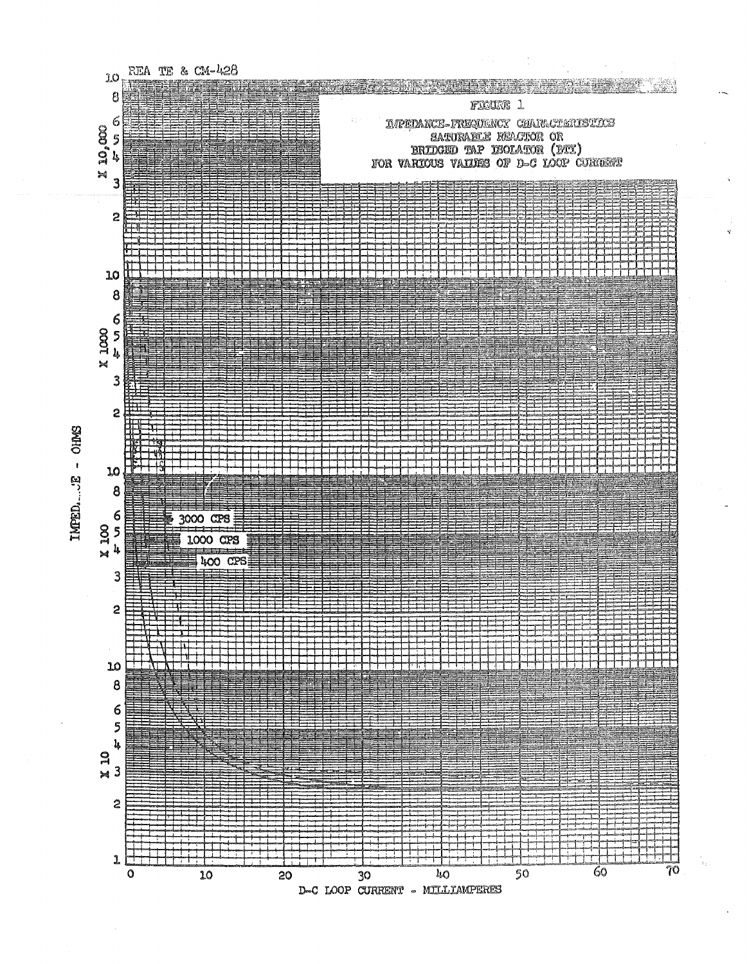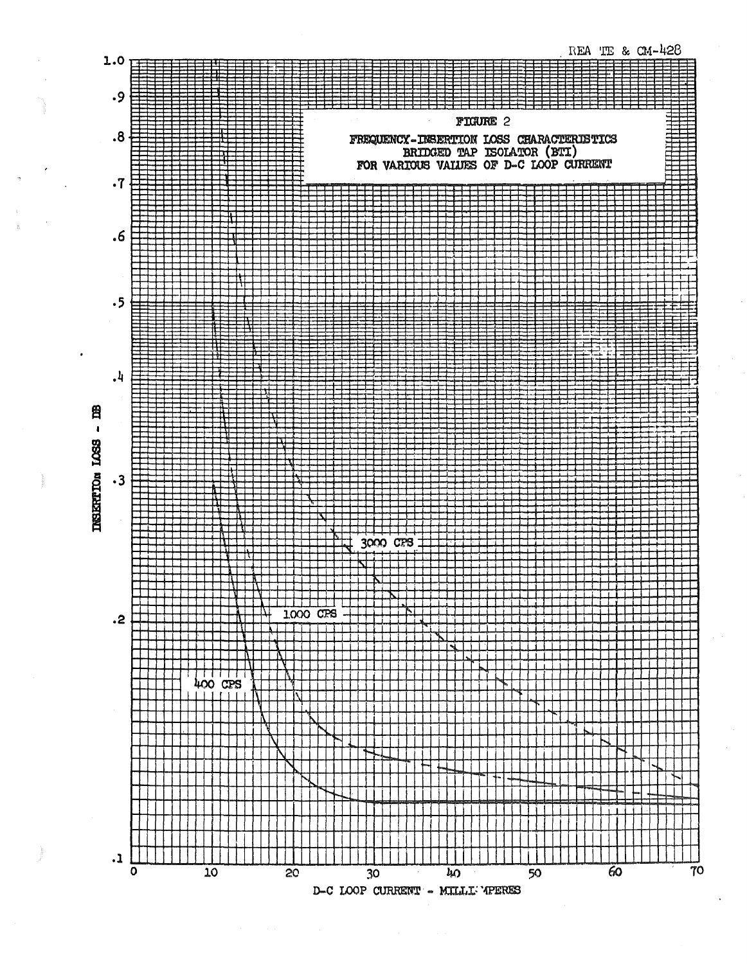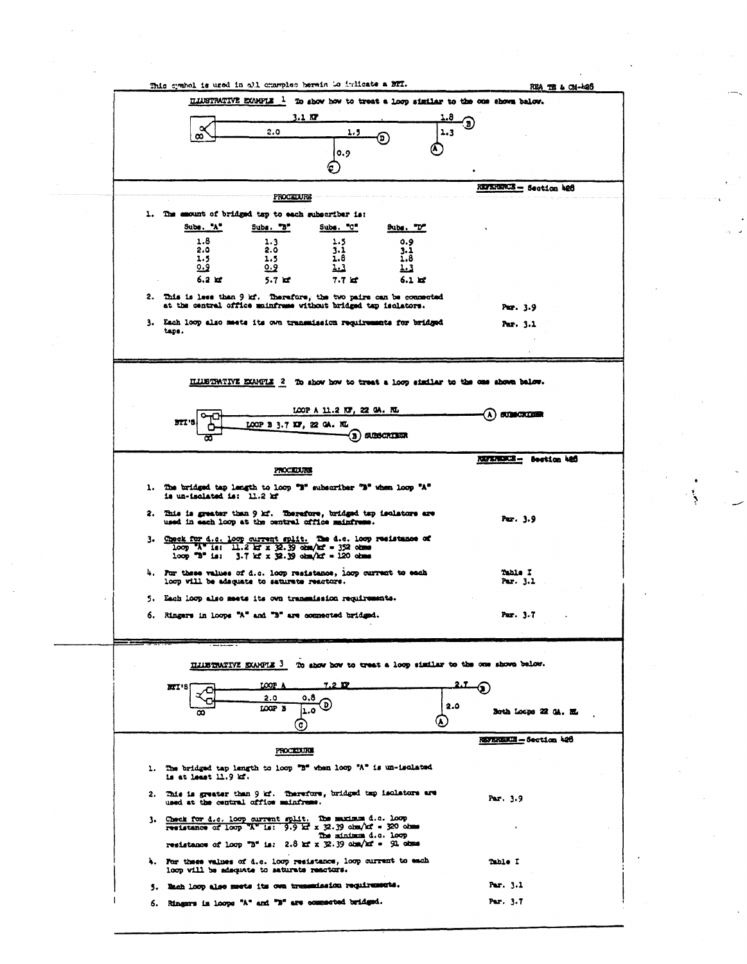| ILLUSTRATIVE EXAMPLE 1 To show how to treat a loop similar to the one shown balow.                                  | REA TE & CM-h28         |
|---------------------------------------------------------------------------------------------------------------------|-------------------------|
| $3.1 \, \text{ST}$<br>1.8                                                                                           |                         |
| 1.3<br>2.0<br>1.5                                                                                                   | в                       |
| ∞<br>D)                                                                                                             |                         |
| <b>0.9</b>                                                                                                          |                         |
| €                                                                                                                   |                         |
|                                                                                                                     | REPERENCE - Section 428 |
| PROCEDURE                                                                                                           |                         |
| 1. The amount of bridged tap to each subscriber is:                                                                 |                         |
| Sube. "A"<br>Sube.<br>$Subs.$ $Cn$<br>$B_{100}$ , $D^2$                                                             |                         |
| 1.8<br>1.3<br>1.5<br>0.9<br>2.0<br>2.0<br>3.1<br>3.1                                                                |                         |
| 1.8<br>1.8<br>1.5<br>1.5<br><u>0.9</u><br><u>0.9</u><br><u> 1.3</u><br><u> 1. J</u>                                 |                         |
| $6.2 \times$<br>5.7 <sub>kt</sub><br>$7.7 \times$<br>$6.1 \times$                                                   |                         |
| 2. This is less than 9 kf. Therefore, the two pairs can be connected                                                |                         |
| at the central office mainframe without bridged tap isolators.                                                      | Par. 3.9                |
| 3. Each loop also meets its own transmission requirements for bridged<br>taps.                                      | Par. 3.1                |
|                                                                                                                     |                         |
|                                                                                                                     |                         |
|                                                                                                                     |                         |
| HILUETRATIVE EXAMPLE 2 To show how to treat a loop similar to the case ahown balow.                                 |                         |
|                                                                                                                     |                         |
| LOOP A 11.2 KF, 22 CA. RL<br><b>MI'S</b>                                                                            | A BUDBORDER             |
| LOOP 13 3.7 KP, 22 GA. KL<br>(B) SUBSCRIBUR                                                                         |                         |
|                                                                                                                     |                         |
| PROCEDURE                                                                                                           | REFERENCE- Section 420  |
|                                                                                                                     |                         |
| 1. The bridged tap length to loop "B" subscriber "B" when loop "A"<br>is un-isolated is: 11.2 hf                    |                         |
| 2. This is greater than 9 kf. Therefore, bridged tsp isolators are                                                  |                         |
| used in each loop at the central office mainframe.                                                                  | Pax. 3.9                |
| 3. Check for d.c. loop current split. The d.c. loop resistance of<br>loop "A" is: 11.2 kf x 32.39 okm/kf = 352 okms |                         |
| loop "B" is: 3.7 kf x 32.39 okm/kf = 120 okms                                                                       |                         |
| 4. For these values of d.c. loop resistance, loop current to each                                                   | Table I                 |
| loop will be adaquate to saturate reactors.                                                                         | Par. 3.1                |
| 5. Each loop also meets its own transmission requirements.                                                          |                         |
| 6. Ringers in loops "A" and "B" are commected bridged.                                                              | Par. 3.7                |
|                                                                                                                     |                         |
|                                                                                                                     |                         |
| HIMSTRATIVE EXAMPLE 3 To show how to treat a loop similar to the one shown below.                                   |                         |
|                                                                                                                     |                         |
|                                                                                                                     |                         |
| $7.2 \times$<br>LOOP !<br>$m_{13}$<br>0,8<br>2.0                                                                    |                         |
| ه<br>2.0<br>LOOP B<br>1.0                                                                                           | Both Loups 22 CA. EL    |
| ω<br>C.                                                                                                             |                         |
|                                                                                                                     | REVEREELS - Section 426 |
| <b>PROCEDURE</b>                                                                                                    |                         |
| 1. The bridged tap length to loop "B" when loop "A" is un-isolated<br>is at least 11.9 kf.                          |                         |
|                                                                                                                     |                         |
| 2. This is greater than 9 kf. Therefore, bridged tmp isolators are<br>used at the central office mainfress.         | Par. 3.9                |
| 3. Check for d.c. loop current split. The maximum d.c. loop                                                         |                         |
| resistance of loop "A" is: $9.9$ kg x 32.39 chan/kg = 320 chase<br>The minimum d.c. loop                            |                         |
| resistance of loop "B" is: $2.8$ kf x 32.39 obs/kf = 91 obse                                                        |                         |
| 4. For these values of d.c. loop resistance, loop current to each                                                   | Table I                 |
| loop will be adsquate to saturate reactors.<br>5. Each loop also meets its own trememission requirements.           | Par. 3.1                |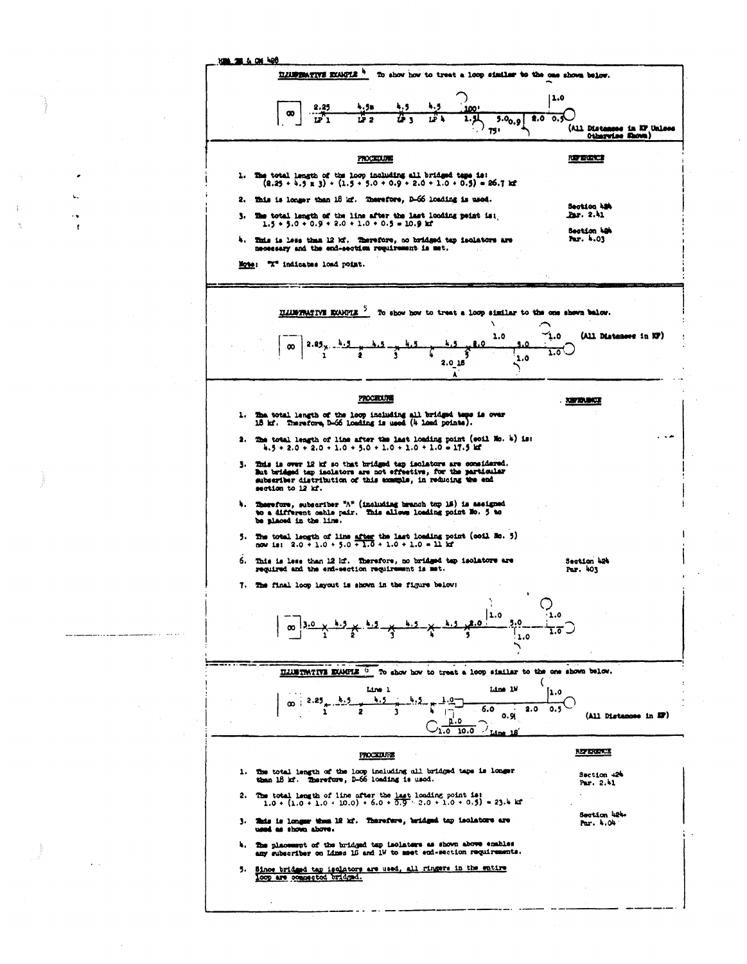